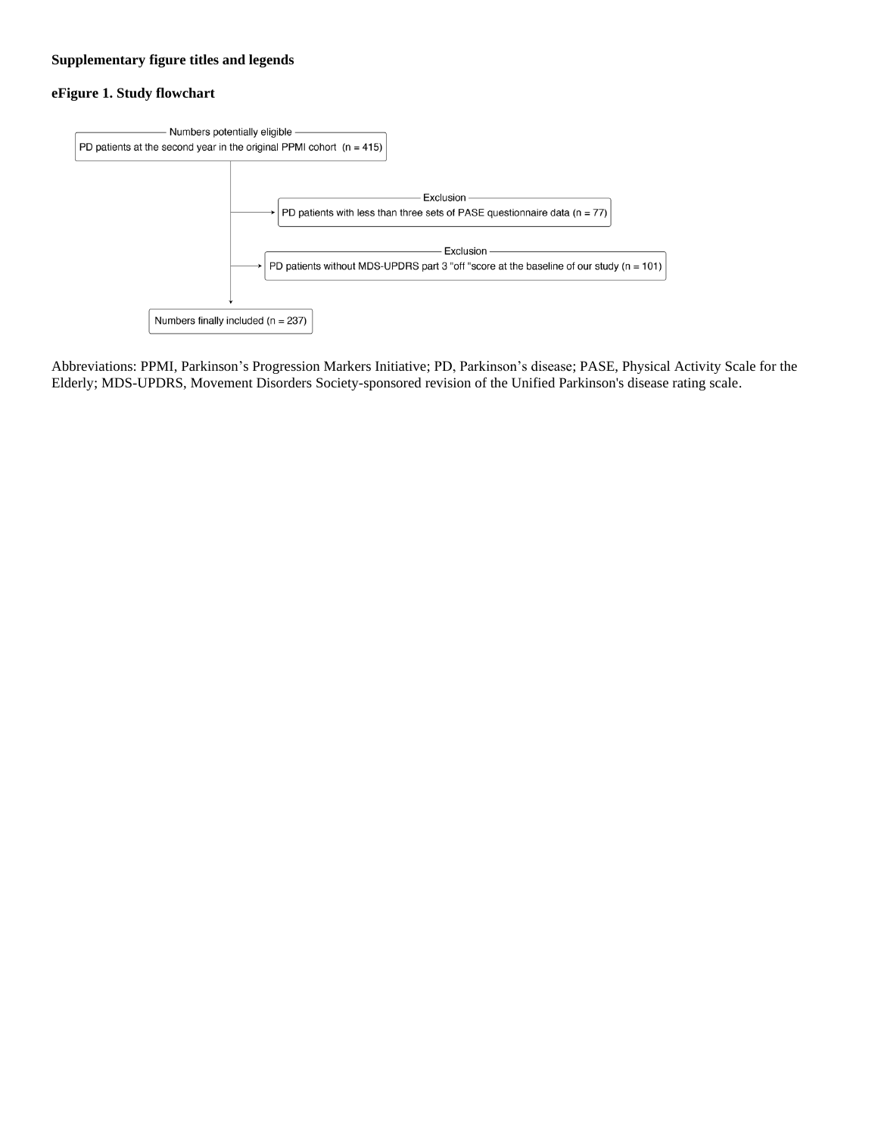# **Supplementary figure titles and legends**

## **eFigure 1. Study flowchart**



Abbreviations: PPMI, Parkinson's Progression Markers Initiative; PD, Parkinson's disease; PASE, Physical Activity Scale for the Elderly; MDS-UPDRS, Movement Disorders Society-sponsored revision of the Unified Parkinson's disease rating scale.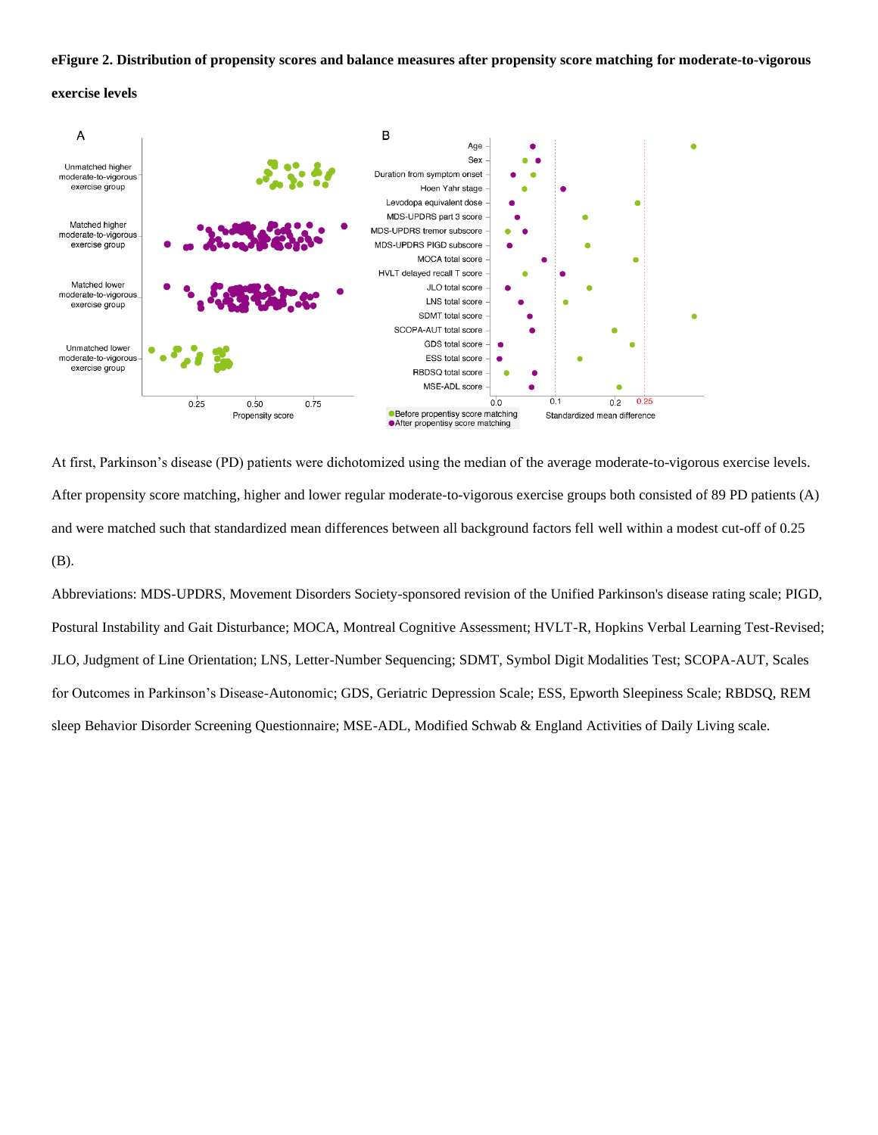#### **eFigure 2. Distribution of propensity scores and balance measures after propensity score matching for moderate-to-vigorous**

## **exercise levels**



At first, Parkinson's disease (PD) patients were dichotomized using the median of the average moderate-to-vigorous exercise levels. After propensity score matching, higher and lower regular moderate-to-vigorous exercise groups both consisted of 89 PD patients (A) and were matched such that standardized mean differences between all background factors fell well within a modest cut-off of 0.25 (B).

Abbreviations: MDS-UPDRS, Movement Disorders Society-sponsored revision of the Unified Parkinson's disease rating scale; PIGD, Postural Instability and Gait Disturbance; MOCA, Montreal Cognitive Assessment; HVLT-R, Hopkins Verbal Learning Test-Revised; JLO, Judgment of Line Orientation; LNS, Letter-Number Sequencing; SDMT, Symbol Digit Modalities Test; SCOPA-AUT, Scales for Outcomes in Parkinson's Disease-Autonomic; GDS, Geriatric Depression Scale; ESS, Epworth Sleepiness Scale; RBDSQ, REM sleep Behavior Disorder Screening Questionnaire; MSE-ADL, Modified Schwab & England Activities of Daily Living scale.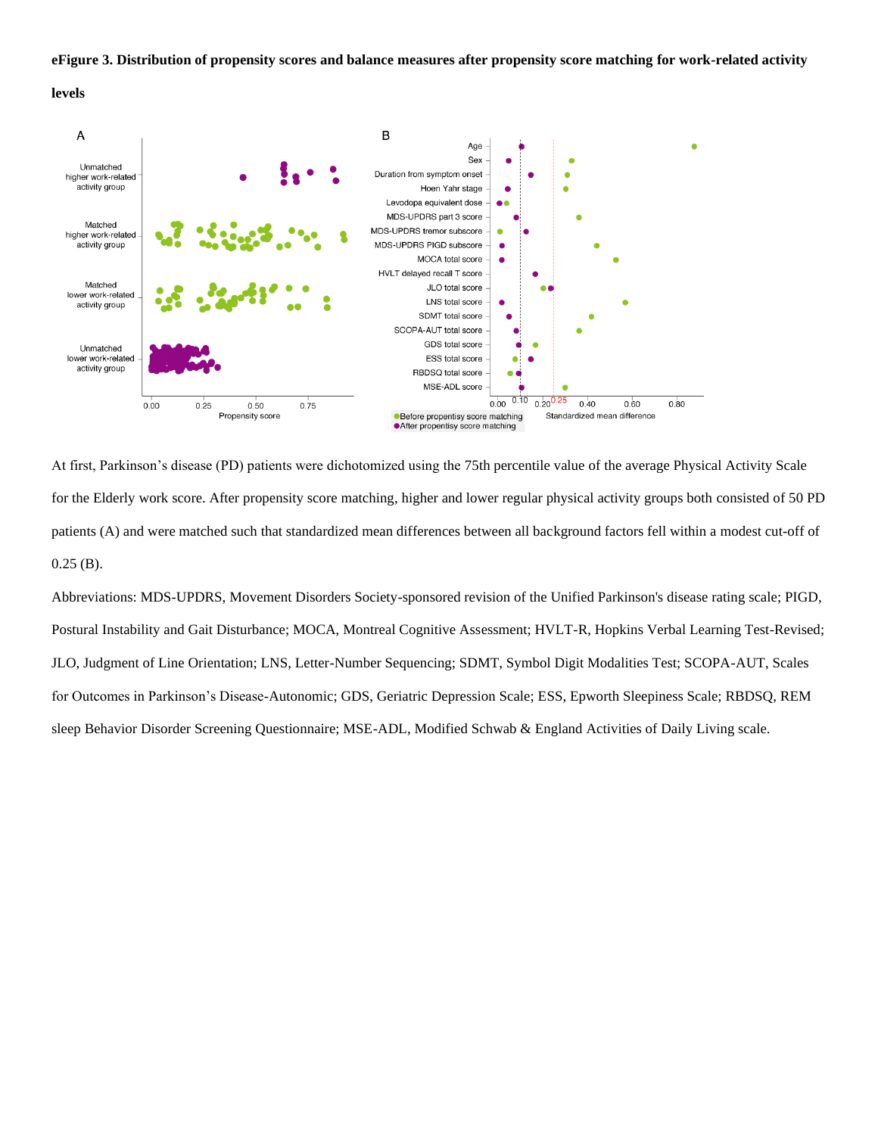#### **eFigure 3. Distribution of propensity scores and balance measures after propensity score matching for work-related activity**





At first, Parkinson's disease (PD) patients were dichotomized using the 75th percentile value of the average Physical Activity Scale for the Elderly work score. After propensity score matching, higher and lower regular physical activity groups both consisted of 50 PD patients (A) and were matched such that standardized mean differences between all background factors fell within a modest cut-off of  $0.25$  (B).

Abbreviations: MDS-UPDRS, Movement Disorders Society-sponsored revision of the Unified Parkinson's disease rating scale; PIGD, Postural Instability and Gait Disturbance; MOCA, Montreal Cognitive Assessment; HVLT-R, Hopkins Verbal Learning Test-Revised; JLO, Judgment of Line Orientation; LNS, Letter-Number Sequencing; SDMT, Symbol Digit Modalities Test; SCOPA-AUT, Scales for Outcomes in Parkinson's Disease-Autonomic; GDS, Geriatric Depression Scale; ESS, Epworth Sleepiness Scale; RBDSQ, REM sleep Behavior Disorder Screening Questionnaire; MSE-ADL, Modified Schwab & England Activities of Daily Living scale.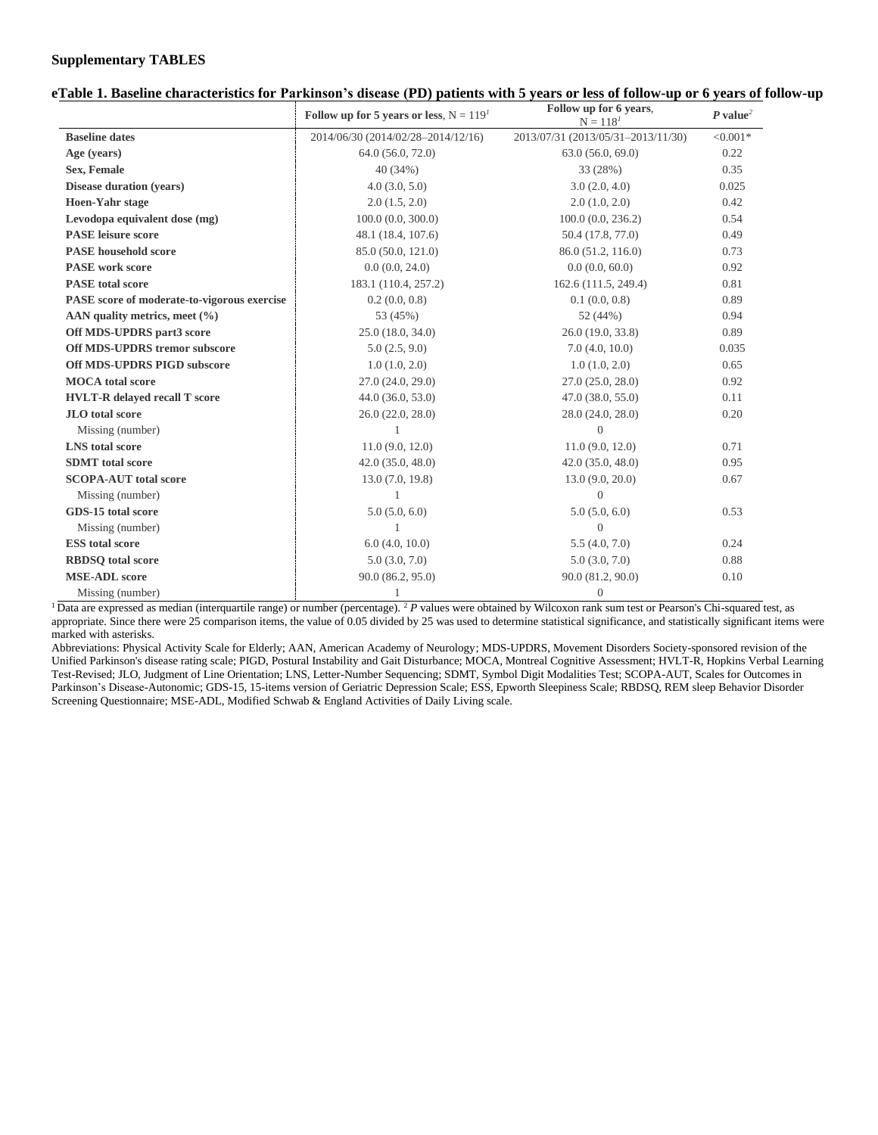### **Supplementary TABLES**

## **eTable 1. Baseline characteristics for Parkinson's disease (PD) patients with 5 years or less of follow-up or 6 years of follow-up**

|                                             | Follow up for 5 years or less, $N = 119T$ | Follow up for 6 years,<br>$N = 118^{1}$ | $P$ value <sup>2</sup> |  |
|---------------------------------------------|-------------------------------------------|-----------------------------------------|------------------------|--|
| <b>Baseline dates</b>                       | 2014/06/30 (2014/02/28-2014/12/16)        | 2013/07/31 (2013/05/31-2013/11/30)      | $< 0.001*$             |  |
| Age (years)                                 | 64.0 (56.0, 72.0)                         | 63.0(56.0, 69.0)                        | 0.22                   |  |
| Sex, Female                                 | 40(34%)                                   | 33 (28%)                                | 0.35                   |  |
| <b>Disease duration (years)</b>             | 4.0(3.0, 5.0)                             | 3.0(2.0, 4.0)                           | 0.025                  |  |
| <b>Hoen-Yahr stage</b>                      | 2.0(1.5, 2.0)                             | 2.0(1.0, 2.0)                           | 0.42                   |  |
| Levodopa equivalent dose (mg)               | 100.0(0.0, 300.0)                         | 100.0(0.0, 236.2)                       | 0.54                   |  |
| <b>PASE</b> leisure score                   | 48.1 (18.4, 107.6)                        | 50.4 (17.8, 77.0)                       | 0.49                   |  |
| <b>PASE</b> household score                 | 85.0 (50.0, 121.0)                        | 86.0 (51.2, 116.0)                      | 0.73                   |  |
| <b>PASE</b> work score                      | 0.0(0.0, 24.0)                            | 0.0(0.0, 60.0)                          | 0.92                   |  |
| <b>PASE</b> total score                     | 183.1 (110.4, 257.2)                      | 162.6 (111.5, 249.4)                    | 0.81                   |  |
| PASE score of moderate-to-vigorous exercise | 0.2(0.0, 0.8)                             | 0.1(0.0, 0.8)                           | 0.89                   |  |
| AAN quality metrics, meet $(\% )$           | 53 (45%)                                  | 52 (44%)                                | 0.94                   |  |
| Off MDS-UPDRS part3 score                   | 25.0(18.0, 34.0)                          | 26.0 (19.0, 33.8)                       | 0.89                   |  |
| <b>Off MDS-UPDRS tremor subscore</b>        | 5.0(2.5, 9.0)                             | 7.0(4.0, 10.0)                          | 0.035                  |  |
| <b>Off MDS-UPDRS PIGD subscore</b>          | 1.0(1.0, 2.0)                             | 1.0(1.0, 2.0)                           | 0.65                   |  |
| <b>MOCA</b> total score                     | 27.0(24.0, 29.0)                          | 27.0(25.0, 28.0)                        | 0.92                   |  |
| <b>HVLT-R</b> delayed recall T score        | 44.0(36.0, 53.0)                          | 47.0(38.0, 55.0)                        | 0.11                   |  |
| <b>JLO</b> total score                      | 26.0(22.0, 28.0)                          | 28.0(24.0, 28.0)                        | 0.20                   |  |
| Missing (number)                            |                                           | $\theta$                                |                        |  |
| <b>LNS</b> total score                      | 11.0(9.0, 12.0)                           | 11.0(9.0, 12.0)                         | 0.71                   |  |
| <b>SDMT</b> total score                     | 42.0(35.0, 48.0)                          | 42.0(35.0, 48.0)                        | 0.95                   |  |
| <b>SCOPA-AUT</b> total score                | 13.0(7.0, 19.8)                           | 13.0(9.0, 20.0)                         | 0.67                   |  |
| Missing (number)                            | 1                                         | $\Omega$                                |                        |  |
| GDS-15 total score                          | 5.0(5.0, 6.0)                             | 5.0(5.0, 6.0)                           | 0.53                   |  |
| Missing (number)                            | $\mathbf{1}$                              | $\overline{0}$                          |                        |  |
| <b>ESS</b> total score                      | 6.0(4.0, 10.0)                            | 5.5(4.0, 7.0)                           | 0.24                   |  |
| <b>RBDSO</b> total score                    | 5.0(3.0, 7.0)                             | 5.0(3.0, 7.0)                           | 0.88                   |  |
| <b>MSE-ADL</b> score                        | 90.0 (86.2, 95.0)                         | 90.0 (81.2, 90.0)                       | 0.10                   |  |
| Missing (number)                            | 1                                         | $\mathbf{0}$                            |                        |  |

<sup>1</sup>Data are expressed as median (interquartile range) or number (percentage). <sup>2</sup> *P* values were obtained by Wilcoxon rank sum test or Pearson's Chi-squared test, as appropriate. Since there were 25 comparison items, the value of 0.05 divided by 25 was used to determine statistical significance, and statistically significant items were marked with asterisks.

Abbreviations: Physical Activity Scale for Elderly; AAN, American Academy of Neurology; MDS-UPDRS, Movement Disorders Society-sponsored revision of the Unified Parkinson's disease rating scale; PIGD, Postural Instability and Gait Disturbance; MOCA, Montreal Cognitive Assessment; HVLT-R, Hopkins Verbal Learning Test-Revised; JLO, Judgment of Line Orientation; LNS, Letter-Number Sequencing; SDMT, Symbol Digit Modalities Test; SCOPA-AUT, Scales for Outcomes in Parkinson's Disease-Autonomic; GDS-15, 15-items version of Geriatric Depression Scale; ESS, Epworth Sleepiness Scale; RBDSQ, REM sleep Behavior Disorder Screening Questionnaire; MSE-ADL, Modified Schwab & England Activities of Daily Living scale.